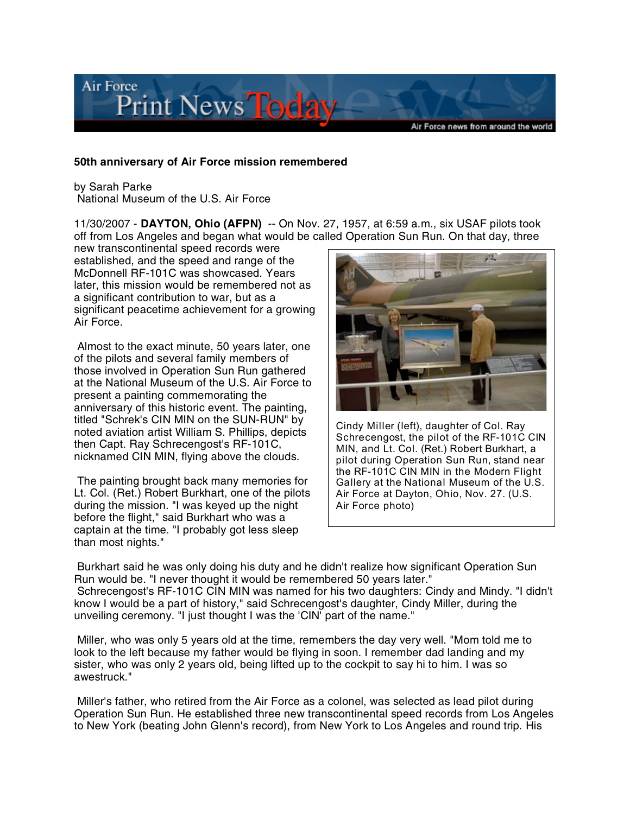

## **50th anniversary of Air Force mission remembered**

by Sarah Parke National Museum of the U.S. Air Force

11/30/2007 - **DAYTON, Ohio (AFPN)** -- On Nov. 27, 1957, at 6:59 a.m., six USAF pilots took off from Los Angeles and began what would be called Operation Sun Run. On that day, three

new transcontinental speed records were established, and the speed and range of the McDonnell RF-101C was showcased. Years later, this mission would be remembered not as a significant contribution to war, but as a significant peacetime achievement for a growing Air Force.

Almost to the exact minute, 50 years later, one of the pilots and several family members of those involved in Operation Sun Run gathered at the National Museum of the U.S. Air Force to present a painting commemorating the anniversary of this historic event. The painting, titled "Schrek's CIN MIN on the SUN-RUN" by noted aviation artist William S. Phillips, depicts then Capt. Ray Schrecengost's RF-101C, nicknamed CIN MIN, flying above the clouds.

The painting brought back many memories for Lt. Col. (Ret.) Robert Burkhart, one of the pilots during the mission. "I was keyed up the night before the flight," said Burkhart who was a captain at the time. "I probably got less sleep than most nights."



Cindy Miller (left), daughter of Col. Ray Schrecengost, the pilot of the RF-101C CIN MIN, and Lt. Col. (Ret.) Robert Burkhart, a pilot during Operation Sun Run, stand near the RF-101C CIN MIN in the Modern Flight Gallery at the National Museum of the U.S. Air Force at Dayton, Ohio, Nov. 27. (U.S. Air Force photo)

Burkhart said he was only doing his duty and he didn't realize how significant Operation Sun Run would be. "I never thought it would be remembered 50 years later." Schrecengost's RF-101C CIN MIN was named for his two daughters: Cindy and Mindy. "I didn't know I would be a part of history," said Schrecengost's daughter, Cindy Miller, during the unveiling ceremony. "I just thought I was the 'CIN' part of the name."

Miller, who was only 5 years old at the time, remembers the day very well. "Mom told me to look to the left because my father would be flying in soon. I remember dad landing and my sister, who was only 2 years old, being lifted up to the cockpit to say hi to him. I was so awestruck."

Miller's father, who retired from the Air Force as a colonel, was selected as lead pilot during Operation Sun Run. He established three new transcontinental speed records from Los Angeles to New York (beating John Glenn's record), from New York to Los Angeles and round trip. His